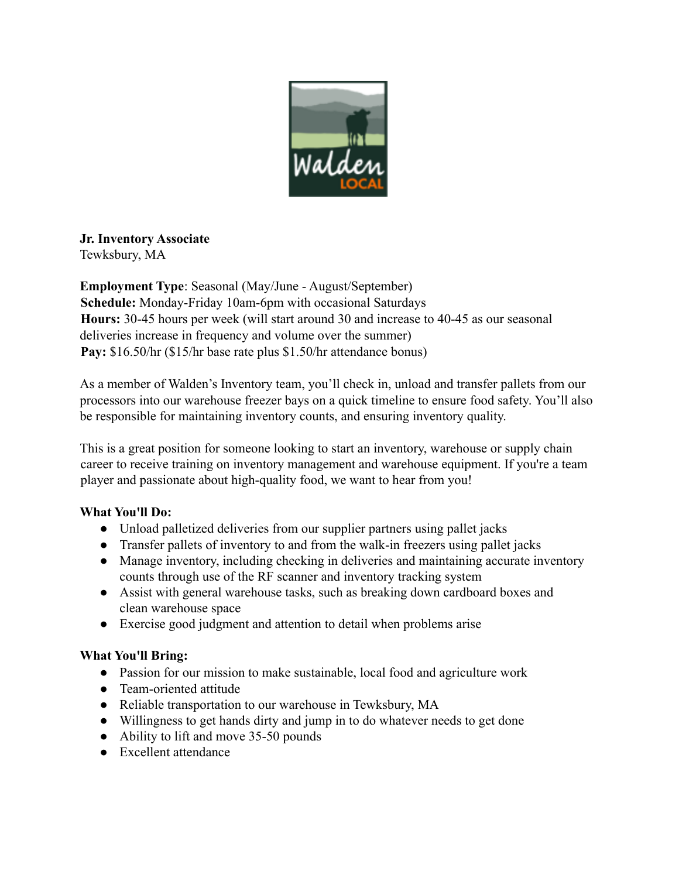

**Jr. Inventory Associate** Tewksbury, MA

**Employment Type**: Seasonal (May/June - August/September) **Schedule:** Monday-Friday 10am-6pm with occasional Saturdays **Hours:** 30-45 hours per week (will start around 30 and increase to 40-45 as our seasonal deliveries increase in frequency and volume over the summer) **Pay:** \$16.50/hr (\$15/hr base rate plus \$1.50/hr attendance bonus)

As a member of Walden's Inventory team, you'll check in, unload and transfer pallets from our processors into our warehouse freezer bays on a quick timeline to ensure food safety. You'll also be responsible for maintaining inventory counts, and ensuring inventory quality.

This is a great position for someone looking to start an inventory, warehouse or supply chain career to receive training on inventory management and warehouse equipment. If you're a team player and passionate about high-quality food, we want to hear from you!

## **What You'll Do:**

- Unload palletized deliveries from our supplier partners using pallet jacks
- Transfer pallets of inventory to and from the walk-in freezers using pallet jacks
- Manage inventory, including checking in deliveries and maintaining accurate inventory counts through use of the RF scanner and inventory tracking system
- Assist with general warehouse tasks, such as breaking down cardboard boxes and clean warehouse space
- Exercise good judgment and attention to detail when problems arise

## **What You'll Bring:**

- Passion for our mission to make sustainable, local food and agriculture work
- Team-oriented attitude
- Reliable transportation to our warehouse in Tewksbury, MA
- Willingness to get hands dirty and jump in to do whatever needs to get done
- Ability to lift and move 35-50 pounds
- Excellent attendance